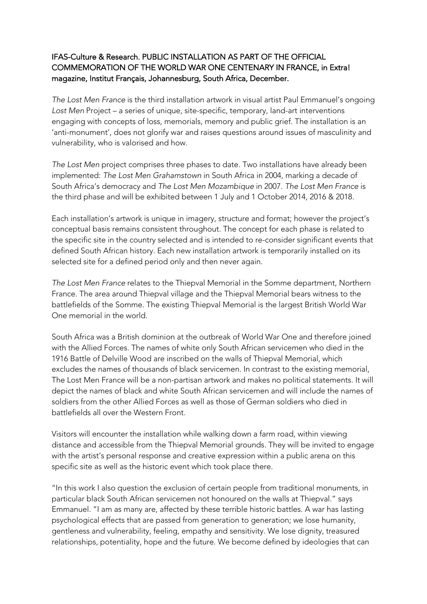## IFAS-Culture & Research. PUBLIC INSTALLATION AS PART OF THE OFFICIAL COMMEMORATION OF THE WORLD WAR ONE CENTENARY IN FRANCE, in Extra! magazine, Institut Français, Johannesburg, South Africa, December.

*The Lost Men France* is the third installation artwork in visual artist Paul Emmanuel's ongoing *Lost Men* Project – a series of unique, site-specific, temporary, land-art interventions engaging with concepts of loss, memorials, memory and public grief. The installation is an 'anti-monument', does not glorify war and raises questions around issues of masculinity and vulnerability, who is valorised and how.

*The Lost Men* project comprises three phases to date. Two installations have already been implemented: *The Lost Men Grahamstown* in South Africa in 2004, marking a decade of South Africa's democracy and *The Lost Men Mozambique* in 2007. *The Lost Men France* is the third phase and will be exhibited between 1 July and 1 October 2014, 2016 & 2018.

Each installation's artwork is unique in imagery, structure and format; however the project's conceptual basis remains consistent throughout. The concept for each phase is related to the specific site in the country selected and is intended to re-consider significant events that defined South African history. Each new installation artwork is temporarily installed on its selected site for a defined period only and then never again.

*The Lost Men France* relates to the Thiepval Memorial in the Somme department, Northern France. The area around Thiepval village and the Thiepval Memorial bears witness to the battlefields of the Somme. The existing Thiepval Memorial is the largest British World War One memorial in the world.

South Africa was a British dominion at the outbreak of World War One and therefore joined with the Allied Forces. The names of white only South African servicemen who died in the 1916 Battle of Delville Wood are inscribed on the walls of Thiepval Memorial, which excludes the names of thousands of black servicemen. In contrast to the existing memorial, The Lost Men France will be a non-partisan artwork and makes no political statements. It will depict the names of black and white South African servicemen and will include the names of soldiers from the other Allied Forces as well as those of German soldiers who died in battlefields all over the Western Front.

Visitors will encounter the installation while walking down a farm road, within viewing distance and accessible from the Thiepval Memorial grounds. They will be invited to engage with the artist's personal response and creative expression within a public arena on this specific site as well as the historic event which took place there.

"In this work I also question the exclusion of certain people from traditional monuments, in particular black South African servicemen not honoured on the walls at Thiepval." says Emmanuel. "I am as many are, affected by these terrible historic battles. A war has lasting psychological effects that are passed from generation to generation; we lose humanity, gentleness and vulnerability, feeling, empathy and sensitivity. We lose dignity, treasured relationships, potentiality, hope and the future. We become defined by ideologies that can